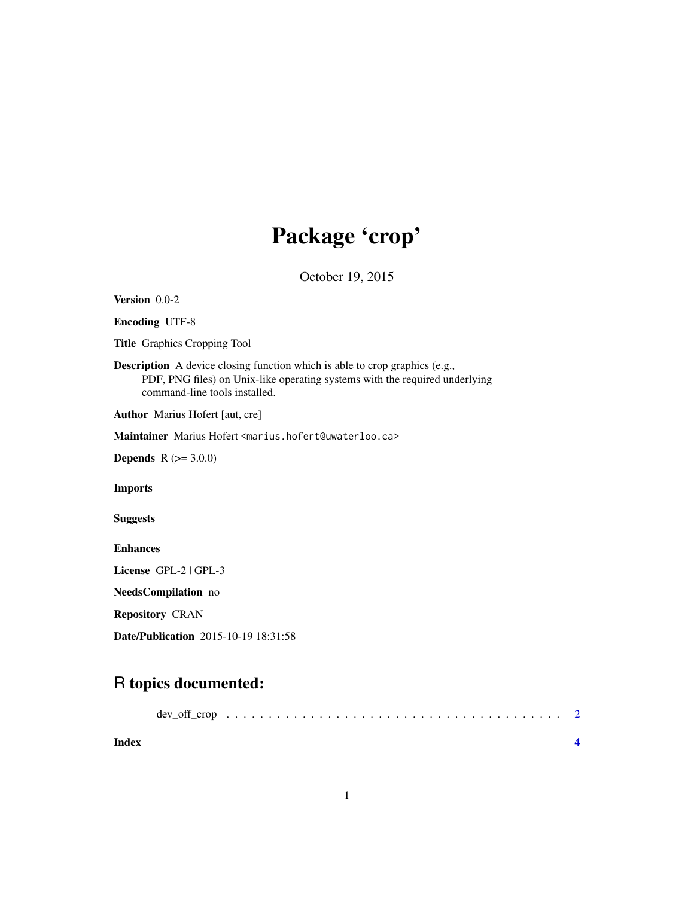## Package 'crop'

October 19, 2015

<span id="page-0-0"></span>Version 0.0-2

Encoding UTF-8

Title Graphics Cropping Tool

Description A device closing function which is able to crop graphics (e.g., PDF, PNG files) on Unix-like operating systems with the required underlying command-line tools installed.

Author Marius Hofert [aut, cre]

Maintainer Marius Hofert <marius.hofert@uwaterloo.ca>

**Depends**  $R (=3.0.0)$ 

Imports

Suggests

Enhances

License GPL-2 | GPL-3

NeedsCompilation no

Repository CRAN

Date/Publication 2015-10-19 18:31:58

### R topics documented:

| Index |  |  |  |  |  |  |  |  |  |  |  |  |  |
|-------|--|--|--|--|--|--|--|--|--|--|--|--|--|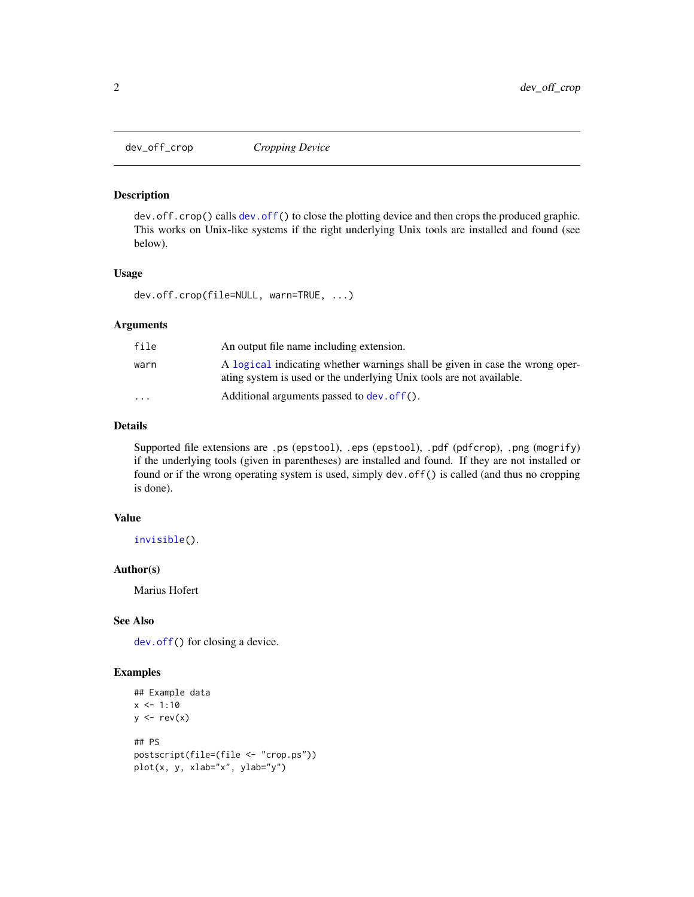<span id="page-1-0"></span>

#### Description

dev.off.crop() calls [dev.off\(](#page-0-0)) to close the plotting device and then crops the produced graphic. This works on Unix-like systems if the right underlying Unix tools are installed and found (see below).

#### Usage

dev.off.crop(file=NULL, warn=TRUE, ...)

#### Arguments

| file      | An output file name including extension.                                                                                                             |
|-----------|------------------------------------------------------------------------------------------------------------------------------------------------------|
| warn      | A logical indicating whether warnings shall be given in case the wrong oper-<br>ating system is used or the underlying Unix tools are not available. |
| $\ddotsc$ | Additional arguments passed to dev. of f().                                                                                                          |

#### Details

Supported file extensions are .ps (epstool), .eps (epstool), .pdf (pdfcrop), .png (mogrify) if the underlying tools (given in parentheses) are installed and found. If they are not installed or found or if the wrong operating system is used, simply dev.off() is called (and thus no cropping is done).

#### Value

[invisible\(](#page-0-0)).

#### Author(s)

Marius Hofert

#### See Also

[dev.off\(](#page-0-0)) for closing a device.

#### Examples

```
## Example data
x \le -1:10y \leftarrow rev(x)## PS
postscript(file=(file <- "crop.ps"))
plot(x, y, xlab="x", ylab="y")
```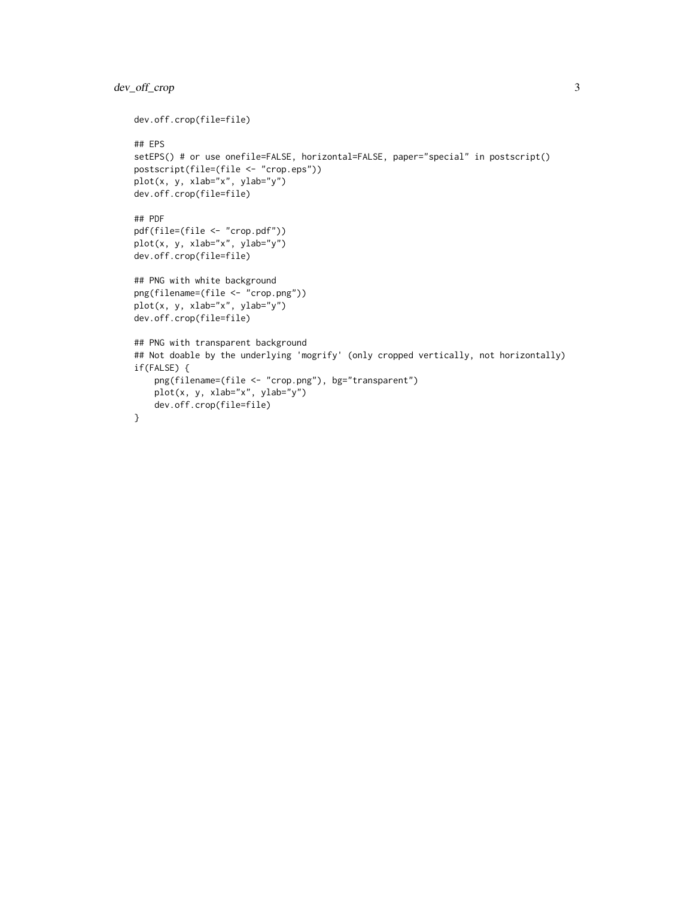#### dev\_off\_crop 3

```
dev.off.crop(file=file)
## EPS
setEPS() # or use onefile=FALSE, horizontal=FALSE, paper="special" in postscript()
postscript(file=(file <- "crop.eps"))
plot(x, y, xlab="x", ylab="y")
dev.off.crop(file=file)
## PDF
pdf(file=(file <- "crop.pdf"))
plot(x, y, xlab="x", ylab="y")
dev.off.crop(file=file)
## PNG with white background
png(filename=(file <- "crop.png"))
plot(x, y, xlab="x", ylab="y")
dev.off.crop(file=file)
## PNG with transparent background
## Not doable by the underlying 'mogrify' (only cropped vertically, not horizontally)
if(FALSE) {
    png(filename=(file <- "crop.png"), bg="transparent")
    plot(x, y, xlab="x", ylab="y")
    dev.off.crop(file=file)
}
```